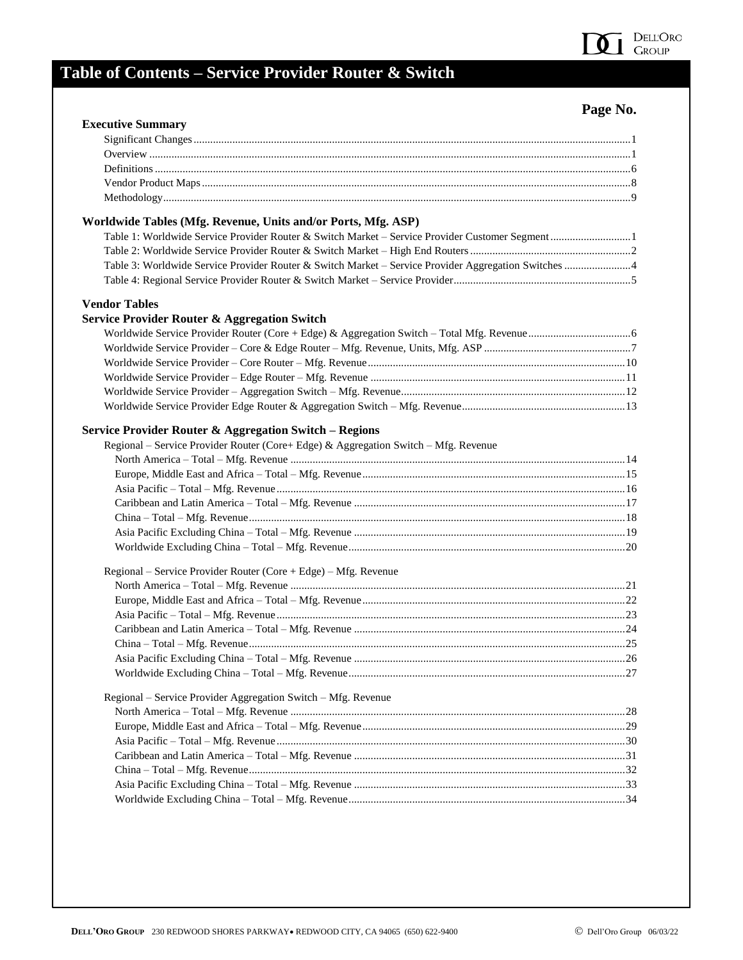

## **Table of Contents – Service Provider Router & Switch**

## **Page No.**

| <b>Executive Summary</b>                                                                             |  |
|------------------------------------------------------------------------------------------------------|--|
|                                                                                                      |  |
|                                                                                                      |  |
|                                                                                                      |  |
|                                                                                                      |  |
|                                                                                                      |  |
| Worldwide Tables (Mfg. Revenue, Units and/or Ports, Mfg. ASP)                                        |  |
| Table 1: Worldwide Service Provider Router & Switch Market - Service Provider Customer Segment1      |  |
|                                                                                                      |  |
| Table 3: Worldwide Service Provider Router & Switch Market - Service Provider Aggregation Switches 4 |  |
|                                                                                                      |  |
| <b>Vendor Tables</b>                                                                                 |  |
| <b>Service Provider Router &amp; Aggregation Switch</b>                                              |  |
|                                                                                                      |  |
|                                                                                                      |  |
|                                                                                                      |  |
|                                                                                                      |  |
|                                                                                                      |  |
|                                                                                                      |  |
| Service Provider Router & Aggregation Switch - Regions                                               |  |
| Regional - Service Provider Router (Core+ Edge) & Aggregation Switch - Mfg. Revenue                  |  |
|                                                                                                      |  |
|                                                                                                      |  |
|                                                                                                      |  |
|                                                                                                      |  |
|                                                                                                      |  |
|                                                                                                      |  |
|                                                                                                      |  |
| Regional – Service Provider Router (Core + Edge) – Mfg. Revenue                                      |  |
|                                                                                                      |  |
|                                                                                                      |  |
|                                                                                                      |  |
|                                                                                                      |  |
|                                                                                                      |  |
|                                                                                                      |  |
|                                                                                                      |  |
| Regional - Service Provider Aggregation Switch - Mfg. Revenue                                        |  |
|                                                                                                      |  |
|                                                                                                      |  |
|                                                                                                      |  |
|                                                                                                      |  |
|                                                                                                      |  |
|                                                                                                      |  |
|                                                                                                      |  |